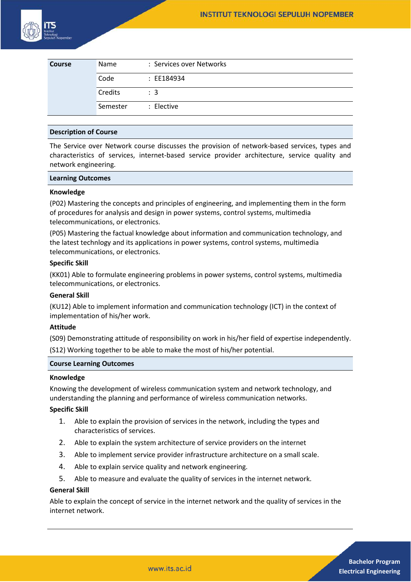

| <b>Course</b> | Name     | : Services over Networks |
|---------------|----------|--------------------------|
|               | Code     | : EE184934               |
|               | Credits  | $\therefore$ 3           |
|               | Semester | : Elective               |

## **Description of Course**

The Service over Network course discusses the provision of network-based services, types and characteristics of services, internet-based service provider architecture, service quality and network engineering.

## **Learning Outcomes**

# **Knowledge**

(P02) Mastering the concepts and principles of engineering, and implementing them in the form of procedures for analysis and design in power systems, control systems, multimedia telecommunications, or electronics.

(P05) Mastering the factual knowledge about information and communication technology, and the latest technlogy and its applications in power systems, control systems, multimedia telecommunications, or electronics.

## **Specific Skill**

(KK01) Able to formulate engineering problems in power systems, control systems, multimedia telecommunications, or electronics.

## **General Skill**

(KU12) Able to implement information and communication technology (ICT) in the context of implementation of his/her work.

#### **Attitude**

(S09) Demonstrating attitude of responsibility on work in his/her field of expertise independently. (S12) Working together to be able to make the most of his/her potential.

# **Course Learning Outcomes**

#### **Knowledge**

Knowing the development of wireless communication system and network technology, and understanding the planning and performance of wireless communication networks.

## **Specific Skill**

- 1. Able to explain the provision of services in the network, including the types and characteristics of services.
- 2. Able to explain the system architecture of service providers on the internet
- 3. Able to implement service provider infrastructure architecture on a small scale.
- 4. Able to explain service quality and network engineering.
- 5. Able to measure and evaluate the quality of services in the internet network.

## **General Skill**

Able to explain the concept of service in the internet network and the quality of services in the internet network.